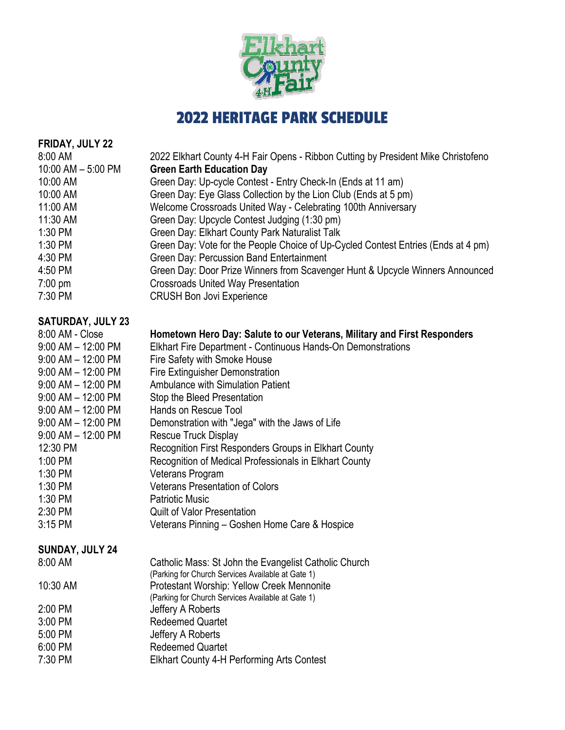

# 2022 HERITAGE PARK SCHEDULE

| <b>FRIDAY, JULY 22</b>   |                                                                                   |
|--------------------------|-----------------------------------------------------------------------------------|
| 8:00 AM                  | 2022 Elkhart County 4-H Fair Opens - Ribbon Cutting by President Mike Christofeno |
| 10:00 AM - 5:00 PM       | <b>Green Earth Education Day</b>                                                  |
| 10:00 AM                 | Green Day: Up-cycle Contest - Entry Check-In (Ends at 11 am)                      |
| 10:00 AM                 | Green Day: Eye Glass Collection by the Lion Club (Ends at 5 pm)                   |
| 11:00 AM                 | Welcome Crossroads United Way - Celebrating 100th Anniversary                     |
| 11:30 AM                 | Green Day: Upcycle Contest Judging (1:30 pm)                                      |
| $1:30$ PM                | Green Day: Elkhart County Park Naturalist Talk                                    |
| 1:30 PM                  | Green Day: Vote for the People Choice of Up-Cycled Contest Entries (Ends at 4 pm) |
| 4:30 PM                  | Green Day: Percussion Band Entertainment                                          |
| 4:50 PM                  | Green Day: Door Prize Winners from Scavenger Hunt & Upcycle Winners Announced     |
| $7:00$ pm                | <b>Crossroads United Way Presentation</b>                                         |
| 7:30 PM                  | <b>CRUSH Bon Jovi Experience</b>                                                  |
|                          |                                                                                   |
| <b>SATURDAY, JULY 23</b> |                                                                                   |
| 8:00 AM - Close          | Hometown Hero Day: Salute to our Veterans, Military and First Responders          |
| $9:00$ AM $-$ 12:00 PM   | Elkhart Fire Department - Continuous Hands-On Demonstrations                      |
| $9:00$ AM $-$ 12:00 PM   | Fire Safety with Smoke House                                                      |
| $9:00$ AM $-$ 12:00 PM   | <b>Fire Extinguisher Demonstration</b>                                            |
| $9:00$ AM $-$ 12:00 PM   | <b>Ambulance with Simulation Patient</b>                                          |
| $9:00$ AM $-$ 12:00 PM   | Stop the Bleed Presentation                                                       |
| $9:00$ AM $-$ 12:00 PM   | Hands on Rescue Tool                                                              |
| $9:00$ AM $- 12:00$ PM   | Demonstration with "Jega" with the Jaws of Life                                   |
| $9:00$ AM $-$ 12:00 PM   | <b>Rescue Truck Display</b>                                                       |
| 12:30 PM                 | Recognition First Responders Groups in Elkhart County                             |
| 1:00 PM                  | Recognition of Medical Professionals in Elkhart County                            |
| 1:30 PM                  | Veterans Program                                                                  |
| $1:30$ PM                | <b>Veterans Presentation of Colors</b>                                            |
| 1:30 PM                  | <b>Patriotic Music</b>                                                            |
| 2:30 PM                  | <b>Quilt of Valor Presentation</b>                                                |
| $3:15$ PM                | Veterans Pinning - Goshen Home Care & Hospice                                     |
| SUNDAY, JULY 24          |                                                                                   |
| 8:00 AM                  | Catholic Mass: St John the Evangelist Catholic Church                             |
|                          | (Parking for Church Services Available at Gate 1)                                 |
| 10:30 AM                 | Protestant Worship: Yellow Creek Mennonite                                        |
|                          | (Parking for Church Services Available at Gate 1)                                 |
| $2:00$ PM                | Jeffery A Roberts                                                                 |
| 3:00 PM                  | <b>Redeemed Quartet</b>                                                           |
| 5:00 PM                  | Jeffery A Roberts                                                                 |
| 6:00 PM                  | <b>Redeemed Quartet</b>                                                           |
| 7:30 PM                  | <b>Elkhart County 4-H Performing Arts Contest</b>                                 |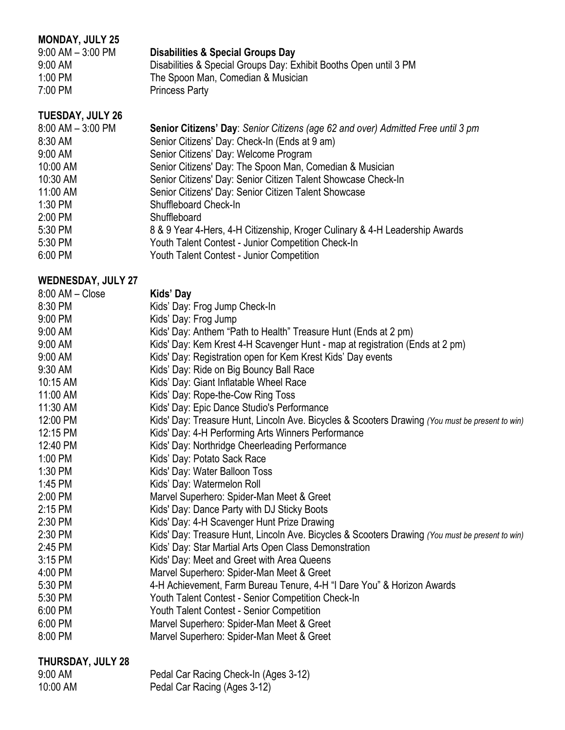#### **MONDAY, JULY 25**<br>9:00 AM - 3:00 PM **Disabilities & Special Groups Day** 9:00 AM Disabilities & Special Groups Day: Exhibit Booths Open until 3 PM<br>1:00 PM The Spoon Man, Comedian & Musician 1:00 PM The Spoon Man, Comedian & Musician<br>7:00 PM Princess Party Princess Party

#### **TUESDAY, JULY 26**

| $8:00$ AM $-3:00$ PM | Senior Citizens' Day: Senior Citizens (age 62 and over) Admitted Free until 3 pm |
|----------------------|----------------------------------------------------------------------------------|
| 8:30 AM              | Senior Citizens' Day: Check-In (Ends at 9 am)                                    |
| 9:00 AM              | Senior Citizens' Day: Welcome Program                                            |
| 10:00 AM             | Senior Citizens' Day: The Spoon Man, Comedian & Musician                         |
| 10:30 AM             | Senior Citizens' Day: Senior Citizen Talent Showcase Check-In                    |
| 11:00 AM             | Senior Citizens' Day: Senior Citizen Talent Showcase                             |
| 1:30 PM              | Shuffleboard Check-In                                                            |
| 2:00 PM              | Shuffleboard                                                                     |
| 5:30 PM              | 8 & 9 Year 4-Hers, 4-H Citizenship, Kroger Culinary & 4-H Leadership Awards      |
| 5:30 PM              | Youth Talent Contest - Junior Competition Check-In                               |
| 6:00 PM              | Youth Talent Contest - Junior Competition                                        |
|                      |                                                                                  |

#### **WEDNESDAY, JULY 27**

| $8:00$ AM $-$ Close   | Kids' Day                                                                                       |
|-----------------------|-------------------------------------------------------------------------------------------------|
| 8:30 PM               | Kids' Day: Frog Jump Check-In                                                                   |
| 9:00 PM               | Kids' Day: Frog Jump                                                                            |
| 9:00 AM               | Kids' Day: Anthem "Path to Health" Treasure Hunt (Ends at 2 pm)                                 |
| 9:00 AM               | Kids' Day: Kem Krest 4-H Scavenger Hunt - map at registration (Ends at 2 pm)                    |
| 9:00 AM               | Kids' Day: Registration open for Kem Krest Kids' Day events                                     |
| 9:30 AM               | Kids' Day: Ride on Big Bouncy Ball Race                                                         |
| 10:15 AM              | Kids' Day: Giant Inflatable Wheel Race                                                          |
| 11:00 AM              | Kids' Day: Rope-the-Cow Ring Toss                                                               |
| 11:30 AM              | Kids' Day: Epic Dance Studio's Performance                                                      |
| 12:00 PM              | Kids' Day: Treasure Hunt, Lincoln Ave. Bicycles & Scooters Drawing (You must be present to win) |
| 12:15 PM              | Kids' Day: 4-H Performing Arts Winners Performance                                              |
| 12:40 PM              | Kids' Day: Northridge Cheerleading Performance                                                  |
| 1:00 PM               | Kids' Day: Potato Sack Race                                                                     |
| 1:30 PM               | Kids' Day: Water Balloon Toss                                                                   |
| 1:45 PM               | Kids' Day: Watermelon Roll                                                                      |
| 2:00 PM               | Marvel Superhero: Spider-Man Meet & Greet                                                       |
| 2:15 PM               | Kids' Day: Dance Party with DJ Sticky Boots                                                     |
| 2:30 PM               | Kids' Day: 4-H Scavenger Hunt Prize Drawing                                                     |
| 2:30 PM               | Kids' Day: Treasure Hunt, Lincoln Ave. Bicycles & Scooters Drawing (You must be present to win) |
| 2:45 PM               | Kids' Day: Star Martial Arts Open Class Demonstration                                           |
| $3:15$ PM             | Kids' Day: Meet and Greet with Area Queens                                                      |
| 4:00 PM               | Marvel Superhero: Spider-Man Meet & Greet                                                       |
| 5:30 PM               | 4-H Achievement, Farm Bureau Tenure, 4-H "I Dare You" & Horizon Awards                          |
| 5:30 PM               | Youth Talent Contest - Senior Competition Check-In                                              |
| 6:00 PM               | Youth Talent Contest - Senior Competition                                                       |
| 6:00 PM               | Marvel Superhero: Spider-Man Meet & Greet                                                       |
| 8:00 PM               | Marvel Superhero: Spider-Man Meet & Greet                                                       |
| _____________________ |                                                                                                 |

#### **THURSDAY, JULY 28**

| 9:00 AM  | Pedal Car Racing Check-In (Ages 3-12) |
|----------|---------------------------------------|
| 10:00 AM | Pedal Car Racing (Ages 3-12)          |